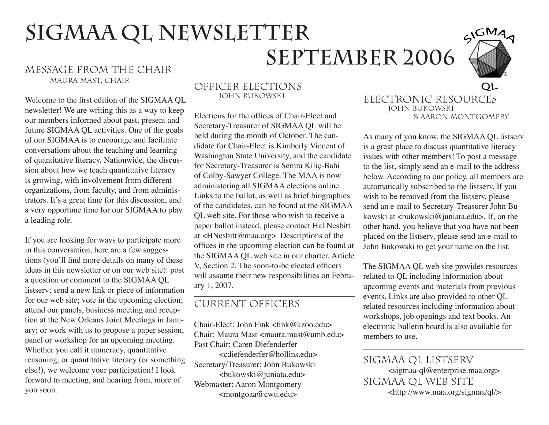# SIGMAA QL NEWSLETTER MESSAGE FROM THE CHAIR **SEPTEMBER 2006**



# Maura Mast, Chair

Welcome to the first edition of the SIGMAA QL newsletter! We are writing this as a way to keep our members informed about past, present and future SIGMAA QL activities. One of the goals of our SIGMAA is to encourage and facilitate conversations about the teaching and learning of quantitative literacy. Nationwide, the discussion about how we teach quantitative literacy is growing, with involvement from different organizations, from faculty, and from administrators. It's a great time for this discussion, and a very opportune time for our SIGMAA to play a leading role.

If you are looking for ways to participate more in this conversation, here are a few suggestions (you'll find more details on many of these ideas in this newsletter or on our web site): post a question or comment to the SIGMAA QL listserv; send a new link or piece of information for our web site; vote in the upcoming election; attend our panels, business meeting and reception at the New Orleans Joint Meetings in January; or work with us to propose a paper session, panel or workshop for an upcoming meeting. Whether you call it numeracy, quantitative reasoning, or quantitative literacy (or something else!), we welcome your participation! I look forward to meeting, and hearing from, more of you soon.

#### Officer Elections John Bukowski

Elections for the offices of Chair-Elect and Secretary-Treasurer of SIGMAA QL will be held during the month of October. The candidate for Chair-Elect is Kimberly Vincent of Washington State University, and the candidate for Secretary-Treasurer is Semra Kiliç-Bahi of Colby-Sawyer College. The MAA is now administering all SIGMAA elections online. Links to the ballot, as well as brief biographies of the candidates, can be found at the SIGMAA QL web site. For those who wish to receive a paper ballot instead, please contact Hal Nesbitt at <HNesbitt@maa.org>. Descriptions of the offices in the upcoming election can be found at the SIGMAA QL web site in our charter, Article V, Section 2. The soon-to-be elected officers will assume their new responsibilities on February 1, 2007.

## Current Officers

Chair-Elect: John Fink <fink@kzoo.edu> Chair: Maura Mast <maura.mast@umb.edu> Past Chair: Caren Diefenderfer <cdiefenderfer@hollins.edu> Secretary/Treasurer: John Bukowski <bukowski@juniata.edu> Webmaster: Aaron Montgomery <montgoaa@cwu.edu>

#### OL Electronic Resources John Bukowski & Aaron Montgomery

As many of you know, the SIGMAA QL listserv is a great place to discuss quantitative literacy issues with other members! To post a message to the list, simply send an e-mail to the address below. According to our policy, all members are automatically subscribed to the listserv. If you wish to be removed from the listserv, please send an e-mail to Secretary-Treasurer John Bukowski at <br/> <br/>kowski@juniata.edu>. If, on the other hand, you believe that you have not been placed on the listserv, please send an e-mail to John Bukowski to get your name on the list.

The SIGMAA QL web site provides resources related to QL including information about upcoming events and materials from previous events. Links are also provided to other QL related resources including information about workshops, job openings and text books. An electronic bulletin board is also available for members to use.

SIGMAA QL LISTSERV <sigmaa-ql@enterprise.maa.org> SIGMAA QL WEB SITE <http://www.maa.org/sigmaa/ql/>